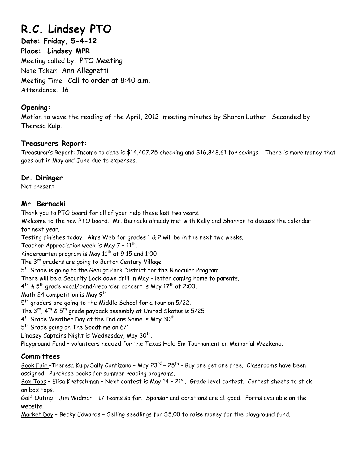# **R.C. Lindsey PTO**

**Date: Friday, 5-4-12 Place: Lindsey MPR**  Meeting called by: PTO Meeting Note Taker: Ann Allegretti Meeting Time: Call to order at 8:40 a.m. Attendance: 16

#### **Opening:**

Motion to wave the reading of the April, 2012 meeting minutes by Sharon Luther. Seconded by Theresa Kulp.

### **Treasurers Report:**

Treasurer's Report: Income to date is \$14,407.25 checking and \$16,848.61 for savings. There is more money that goes out in May and June due to expenses.

#### **Dr. Diringer**

Not present

### **Mr. Bernacki**

Thank you to PTO board for all of your help these last two years.

Welcome to the new PTO board. Mr. Bernacki already met with Kelly and Shannon to discuss the calendar for next year.

Testing finishes today. Aims Web for grades 1 & 2 will be in the next two weeks.

Teacher Appreciation week is May  $7 - 11$ <sup>th</sup>.

Kindergarten program is May  $11^{th}$  at 9:15 and 1:00

The 3<sup>rd</sup> graders are going to Burton Century Village

5<sup>th</sup> Grade is going to the Geauga Park District for the Binocular Program.

There will be a Security Lock down drill in May – letter coming home to parents.

 $4^{\text{th}}$  & 5<sup>th</sup> grade vocal/band/recorder concert is May 17<sup>th</sup> at 2:00.

Math 24 competition is May 9<sup>th</sup>

5<sup>th</sup> graders are going to the Middle School for a tour on 5/22.

The  $3^{rd}$ ,  $4^{th}$  &  $5^{th}$  grade payback assembly at United Skates is  $5/25$ .

 $4<sup>th</sup>$  Grade Weather Day at the Indians Game is May 30<sup>th</sup>

5<sup>th</sup> Grade going on The Goodtime on 6/1

Lindsey Captains Night is Wednesday, May 30<sup>th</sup>.

Playground Fund – volunteers needed for the Texas Hold Em Tournament on Memorial Weekend.

# **Committees**

Book Fair -Theresa Kulp/Sally Contizano - May 23<sup>rd</sup> - 25<sup>th</sup> - Buy one get one free. Classrooms have been assigned. Purchase books for summer reading programs.

Box Tops - Elisa Kretschman - Next contest is May 14 - 21<sup>st</sup>. Grade level contest. Contest sheets to stick on box tops.

Golf Outing – Jim Widmar – 17 teams so far. Sponsor and donations are all good. Forms available on the website.

Market Day – Becky Edwards – Selling seedlings for \$5.00 to raise money for the playground fund.